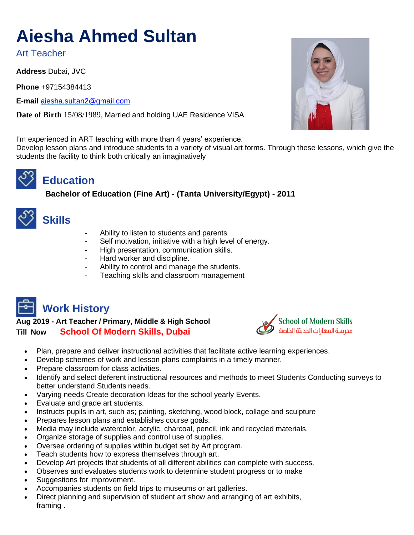# **Aiesha Ahmed Sultan**

Art Teacher

**Address** Dubai, JVC

**Phone** +97154384413

**E-mail** [aiesha.sultan2@gmail.com](mailto:aiesha.sultan2@gmail.com)

**Date of Birth** 15/08/1989, Married and holding UAE Residence VISA

I'm experienced in ART teaching with more than 4 years' experience.

Develop lesson plans and introduce students to a variety of visual art forms. Through these lessons, which give the students the facility to think both critically an imaginatively

## **Education**

 **Bachelor of Education (Fine Art) - (Tanta University/Egypt) - 2011** 



### **Skills**

- Ability to listen to students and parents
- Self motivation, initiative with a high level of energy.
- High presentation, communication skills.
- Hard worker and discipline.
- Ability to control and manage the students.
- Teaching skills and classroom management



**Aug 2019 - Art Teacher / Primary, Middle & High School Till Now School Of Modern Skills, Dubai** 



- Plan, prepare and deliver instructional activities that facilitate active learning experiences.
- Develop schemes of work and lesson plans complaints in a timely manner.
- Prepare classroom for class activities.
- Identify and select deferent instructional resources and methods to meet Students Conducting surveys to better understand Students needs.
- Varying needs Create decoration Ideas for the school yearly Events.
- Evaluate and grade art students.
- Instructs pupils in art, such as; painting, sketching, wood block, collage and sculpture
- Prepares lesson plans and establishes course goals.
- Media may include watercolor, acrylic, charcoal, pencil, ink and recycled materials.
- Organize storage of supplies and control use of supplies.
- Oversee ordering of supplies within budget set by Art program.
- Teach students how to express themselves through art.
- Develop Art projects that students of all different abilities can complete with success.
- Observes and evaluates students work to determine student progress or to make
- Suggestions for improvement.
- Accompanies students on field trips to museums or art galleries.
- Direct planning and supervision of student art show and arranging of art exhibits, framing .

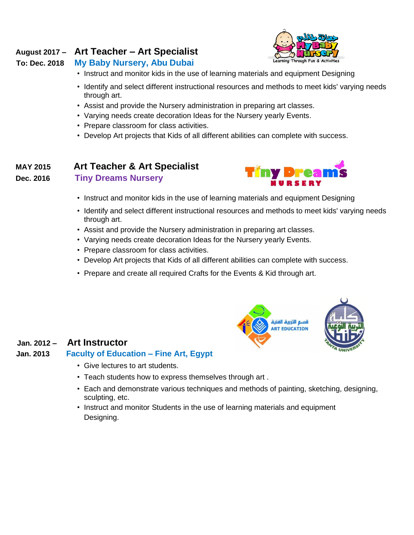#### **August 2017 – Art Teacher – Art Specialist**

#### **To: Dec. 2018 My Baby Nursery, Abu Dubai**



- Instruct and monitor kids in the use of learning materials and equipment Designing
- Identify and select different instructional resources and methods to meet kids' varying needs through art.
- Assist and provide the Nursery administration in preparing art classes.
- Varying needs create decoration Ideas for the Nursery yearly Events.
- Prepare classroom for class activities.
- Develop Art projects that Kids of all different abilities can complete with success.

#### **MAY 2015 Art Teacher & Art Specialist**

**Dec. 2016 Tiny Dreams Nursery**



- Instruct and monitor kids in the use of learning materials and equipment Designing
- Identify and select different instructional resources and methods to meet kids' varying needs through art.
- Assist and provide the Nursery administration in preparing art classes.
- Varying needs create decoration Ideas for the Nursery yearly Events.
- Prepare classroom for class activities.
- Develop Art projects that Kids of all different abilities can complete with success.
- Prepare and create all required Crafts for the Events & Kid through art.



#### **Jan. 2012 – Art Instructor**

#### **Jan. 2013 Faculty of Education – Fine Art, Egypt**

- Give lectures to art students.
- Teach students how to express themselves through art .
- Each and demonstrate various techniques and methods of painting, sketching, designing, sculpting, etc.
- Instruct and monitor Students in the use of learning materials and equipment Designing.